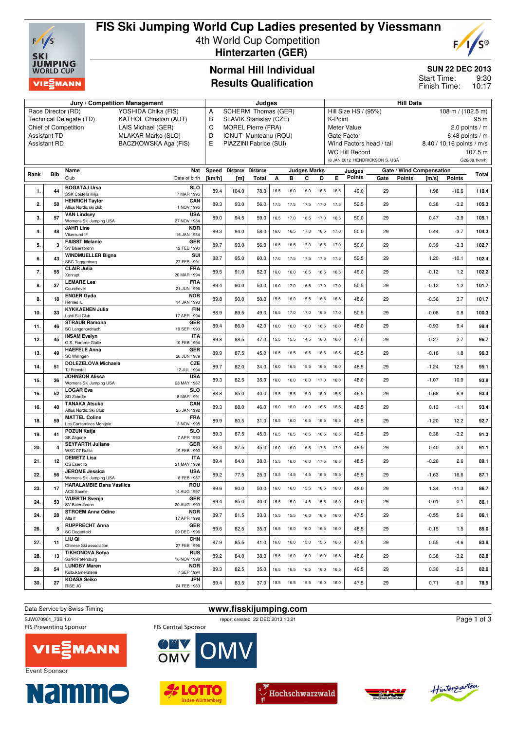

# **FIS Ski Jumping World Cup Ladies presented by Viessmann** 4th World Cup Competition



 **Hinterzarten (GER)**

### **Normal Hill Individual Results Qualification**

#### **SUN 22 DEC 2013**

9:30 10:17 Start Time: Finish Time:

| SCHERM Thomas (GER)<br>Race Director (RD)<br>YOSHIDA Chika (FIS)<br>Α<br>Hill Size HS / (95%)<br>$108 \text{ m} / (102.5 \text{ m})$<br>Technical Delegate (TD)<br><b>KATHOL Christian (AUT)</b><br>В<br>SLAVIK Stanislav (CZE)<br>95 m<br>K-Point<br>C<br><b>MOREL Pierre (FRA)</b><br>Chief of Competition<br>LAIS Michael (GER)<br>Meter Value<br>2.0 points $/m$<br>6.48 points / $m$<br><b>Assistant TD</b><br>MLAKAR Marko (SLO)<br>D<br><b>IONUT Munteanu (ROU)</b><br><b>Gate Factor</b><br>BACZKOWSKA Aga (FIS)<br>Е<br><b>Assistant RD</b><br>PIAZZINI Fabrice (SUI)<br>Wind Factors head / tail<br>8.40 / 10.16 points / m/s<br><b>WC Hill Record</b><br>107.5 m<br>(8 JAN 2012 HENDRICKSON S. USA<br>G26/88.1km/h)<br>Speed<br>Nat<br><b>Distance</b><br><b>Distance</b><br><b>Judges Marks</b><br>Gate / Wind Compensation<br>Name<br>Judges<br>Rank<br>Bib<br>Total<br>Club<br><b>Points</b><br>в<br>Е<br><b>Points</b><br>Date of birth<br>[km/h]<br><b>Total</b><br>A<br>C<br>D<br>Gate<br>Points<br>[m]<br>[m/s]<br><b>BOGATAJ Ursa</b><br><b>SLO</b><br>89.4<br>104.0<br>49.0<br>$-16.6$<br>1.<br>44<br>78.0<br>16.5<br>16.0<br>16.5<br>16.5<br>29<br>1.98<br>16.0<br>SSK Costella ilirija<br>7 MAR 1995<br><b>HENRICH Taylor</b><br>CAN<br>89.3<br>$-3.2$<br>93.0<br>56.0<br>17.5<br>52.5<br>29<br>0.38<br>105.3<br>2.<br>58<br>17.5<br>17.5<br>17.0<br>17.5<br>Altius Nordic ski club<br>1 NOV 1995<br><b>VAN Lindsey</b><br><b>USA</b><br>94.5<br>29<br>$-3.9$<br>3.<br>89.0<br>59.0<br>16.5<br>17.0<br>16.5<br>17.0<br>16.5<br>50.0<br>0.47<br>105.1<br>57<br>Womens Ski Jumping USA<br>27 NOV 1984<br><b>NOR</b><br><b>JAHR Line</b><br>4.<br>48<br>89.3<br>94.0<br>58.0<br>16.0<br>16.5<br>17.0<br>16.5<br>17.0<br>50.0<br>29<br>0.44<br>$-3.7$<br>104.3<br>Vikersund IF<br>16 JAN 1984<br><b>FAISST Melanie</b><br>GER<br>89.7<br>93.0<br>29<br>$-3.3$<br>5.<br>56.0<br>50.0<br>0.39<br>3<br>16.5<br>16.5<br>17.0<br>16.5<br>17.0<br>12 FEB 1990<br>SV Baiersbronn<br><b>WINDMUELLER Bigna</b><br>SUI<br>88.7<br>52.5<br>29<br>6.<br>43<br>95.0<br>60.0<br>17.0<br>17.5<br>1.20<br>$-10.1$<br>102.4<br>17.5<br>17.5<br>17.5<br>SSC Toggenburg<br>27 FEB 1991<br><b>CLAIR Julia</b><br><b>FRA</b><br>89.5<br>91.0<br>1.2<br>52.0<br>49.0<br>29<br>$-0.12$<br>7.<br>55<br>16.0<br>16.0<br>16.5<br>16.5<br>16.5<br>Xonrupt<br>20 MAR 1994<br><b>LEMARE Lea</b><br><b>FRA</b><br>90.0<br>50.0<br>29<br>1.2<br>8.<br>37<br>89.4<br>16.0<br>17.0<br>16.5<br>17.0<br>17.0<br>50.5<br>$-0.12$<br>Courchevel<br>21 JUN 1996<br><b>ENGER Gyda</b><br><b>NOR</b><br>3.7<br>8.<br>18<br>89.8<br>90.0<br>50.0<br>15.5<br>16.0<br>15.5<br>16.5<br>16.5<br>48.0<br>29<br>$-0.36$<br>101.7<br>Hernes IL<br>14 JAN 1993<br><b>KYKKAENEN Julia</b><br><b>FIN</b><br>88.9<br>89.5<br>29<br>0.8<br>49.0<br>50.5<br>$-0.08$<br>10.<br>33<br>16.5<br>17.0<br>17.0<br>16.5<br>17.0<br>Lahti Ski Club<br>17 APR 1994<br><b>STRAUB Ramona</b><br>GER<br>46<br>89.4<br>86.0<br>42.0<br>48.0<br>29<br>$-0.93$<br>9.4<br>11.<br>16.0<br>16.0<br>16.0<br>16.5<br>16.0<br>SC Langenordnach<br>19 SEP 1993<br><b>INSAM Evelyn</b><br><b>ITA</b><br>88.5<br>$-0.27$<br>2.7<br>12.<br>45<br>89.8<br>47.0<br>15.5<br>15.5<br>14.5<br>16.0<br>16.0<br>47.0<br>29<br>96.7<br>G.S. Fiamme Gialle<br>10 FEB 1994<br><b>HAEFELE Anna</b><br>GER<br>89.9<br>87.5<br>45.0<br>29<br>49<br>49.5<br>$-0.18$<br>1.8<br>13.<br>16.5<br>16.5<br>16.5<br>16.5<br>16.5<br>SC Willingen<br>26 JUN 1989<br>DOLEZELOVA Michaela<br>CZE<br>89.7<br>14.<br>51<br>82.0<br>34.0<br>16.0<br>16.5<br>15.5<br>16.5<br>16.0<br>48.5<br>29<br>$-1.24$<br>12.6<br>95.1<br><b>TJ Frenstat</b><br>12 JUL 1994<br><b>JOHNSON Alissa</b><br><b>USA</b><br>89.3<br>82.5<br>35.0<br>29<br>$-1.07$<br>10.9<br>16.0<br>16.0<br>16.0<br>17.0<br>16.0<br>48.0<br>15.<br>36<br>Womens Ski Jumping USA<br>28 MAY 1987<br><b>LOGAR Eva</b><br><b>SLO</b><br>46.5<br>29<br>6.9<br>52<br>88.8<br>85.0<br>40.0<br>15.5<br>15.5<br>$-0.68$<br>16.<br>15.5<br>15.0<br>16.0<br>SD Zabrdje<br>8 MAR 1991<br><b>TANAKA Atsuko</b><br>CAN<br>89.3<br>88.0<br>46.0<br>48.5<br>29<br>0.13<br>$-1.1$<br>40<br>16.0<br>16.0<br>16.0<br>16.5<br>16.5<br>93.4<br>16.<br>Altius Nordic Ski Club<br>25 JAN 1992<br><b>MATTEL Coline</b><br><b>FRA</b><br>80.5<br>29<br>59<br>89.9<br>31.0<br>16.0<br>16.5<br>16.5<br>16.5<br>49.5<br>$-1.20$<br>12.2<br>92.7<br>18.<br>16.5<br>Les Contamines Montjoie<br>3 NOV 1995<br><b>POZUN Katja</b><br><b>SLO</b><br>19.<br>41<br>89.3<br>87.5<br>45.0<br>16.5<br>16.5<br>16.5<br>16.5<br>16.5<br>49.5<br>29<br>0.38<br>$-3.2$<br>SK Zagorje<br>7 APR 1993<br><b>SEYFARTH Juliane</b><br>GER<br>87.5<br>45.0<br>29<br>20.<br>88.4<br>16.0<br>16.0<br>16.5<br>17.5<br>17.0<br>49.5<br>0.40<br>$-3.4$<br>WSC 07 Ruhla<br>19 FEB 1990<br><b>DEMETZ Lisa</b><br><b>ITA</b><br>12<br>89.4<br>84.0<br>38.0<br>48.5<br>29<br>$-0.26$<br>2.6<br>89.1<br>21.<br>15.5<br>16.0<br>16.0<br>17.5<br>16.5<br>CS Esercito<br>21 MAY 1989<br><b>JEROME</b> Jessica<br><b>USA</b><br>89.2<br>77.5<br>45.5<br>25.0<br>29<br>$-1.63$<br>16.6<br>87.1<br>22.<br>56<br>15.5 14.5<br>14.5<br>16.5<br>15.5<br>8 FEB 1987<br>Womens Ski Jumping USA<br>ROU<br><b>HARALAMBIE Dana Vasilica</b><br>89.6<br>90.0<br>50.0<br>1.34<br>$-11.3$<br>48.0<br>86.7<br>23.<br>17<br>16.0<br>16.0<br>15.5<br>16.5<br>16.0<br>29<br>14 AUG 1997<br>ACS Sacele<br><b>WUERTH Svenja</b><br>GER<br>24.<br>53<br>89.4<br>85.0<br>40.0<br>15.5<br>15.0<br>14.5<br>15.5<br>16.0<br>46.0<br>29<br>$-0.01$<br>0.1<br>SV Baiersbronn<br>20 AUG 1993<br><b>STROEM Anna Odine</b><br><b>NOR</b><br>89.7<br>81.5<br>33.0<br>15.5 15.5<br>29<br>5.6<br>24.<br>16.0<br>16.5 16.0<br>47.5<br>$-0.55$<br>28<br>17 APR 1998<br>Alta If<br><b>RUPPRECHT Anna</b><br>GER<br>26.<br>5<br>89.6<br>82.5<br>35.0<br>16.5 16.0<br>16.0<br>16.5<br>48.5<br>29<br>$-0.15$<br>1.5<br>16.0<br><b>SC Degenfeld</b><br>29 DEC 1996<br>LIU Qi<br><b>CHN</b><br>87.9<br>85.5<br>41.0<br>16.0 16.0<br>15.0<br>15.5 16.0<br>47.5<br>29<br>0.55<br>$-4.6$<br>27.<br>11<br>Chinese Ski association<br>27 FEB 1996<br><b>TIKHONOVA Sofya</b><br><b>RUS</b><br>89.2<br>29<br>28.<br>13<br>84.0<br>38.0<br>15.5 16.0<br>16.0<br>16.0 16.5<br>48.0<br>0.38<br>$-3.2$<br>Sankt-Petersburg<br>16 NOV 1998<br><b>LUNDBY Maren</b><br><b>NOR</b><br>89.3<br>82.5<br>$-2.5$<br>35.0<br>49.5<br>29<br>0.30<br>29.<br>54<br>16.5<br>16.5<br>16.5<br>16.0<br>16.5<br>Kolbukameratene<br>7 SEP 1994<br><b>KOASA Seiko</b><br>JPN<br>30.<br>89.4<br>83.5<br>37.0<br>15.5  16.5  15.5  16.0  16.0<br>47.5<br>$-6.0$<br>27<br>29<br>0.71<br>RISE JC<br>24 FEB 1983 |  | Jury / Competition Management | <b>Judges</b> |  |  |  |  |  |  | <b>Hill Data</b> |  |  |  |  |  |  |       |
|-----------------------------------------------------------------------------------------------------------------------------------------------------------------------------------------------------------------------------------------------------------------------------------------------------------------------------------------------------------------------------------------------------------------------------------------------------------------------------------------------------------------------------------------------------------------------------------------------------------------------------------------------------------------------------------------------------------------------------------------------------------------------------------------------------------------------------------------------------------------------------------------------------------------------------------------------------------------------------------------------------------------------------------------------------------------------------------------------------------------------------------------------------------------------------------------------------------------------------------------------------------------------------------------------------------------------------------------------------------------------------------------------------------------------------------------------------------------------------------------------------------------------------------------------------------------------------------------------------------------------------------------------------------------------------------------------------------------------------------------------------------------------------------------------------------------------------------------------------------------------------------------------------------------------------------------------------------------------------------------------------------------------------------------------------------------------------------------------------------------------------------------------------------------------------------------------------------------------------------------------------------------------------------------------------------------------------------------------------------------------------------------------------------------------------------------------------------------------------------------------------------------------------------------------------------------------------------------------------------------------------------------------------------------------------------------------------------------------------------------------------------------------------------------------------------------------------------------------------------------------------------------------------------------------------------------------------------------------------------------------------------------------------------------------------------------------------------------------------------------------------------------------------------------------------------------------------------------------------------------------------------------------------------------------------------------------------------------------------------------------------------------------------------------------------------------------------------------------------------------------------------------------------------------------------------------------------------------------------------------------------------------------------------------------------------------------------------------------------------------------------------------------------------------------------------------------------------------------------------------------------------------------------------------------------------------------------------------------------------------------------------------------------------------------------------------------------------------------------------------------------------------------------------------------------------------------------------------------------------------------------------------------------------------------------------------------------------------------------------------------------------------------------------------------------------------------------------------------------------------------------------------------------------------------------------------------------------------------------------------------------------------------------------------------------------------------------------------------------------------------------------------------------------------------------------------------------------------------------------------------------------------------------------------------------------------------------------------------------------------------------------------------------------------------------------------------------------------------------------------------------------------------------------------------------------------------------------------------------------------------------------------------------------------------------------------------------------------------------------------------------------------------------------------------------------------------------------------------------------------------------------------------------------------------------------------------------------------------------------------------------------------------------------------------------------------------------------------------------------------------------------------------------------------------------------------------------------------------------------------------------------------------------------------------------------------------------------------------------------------------------------------------------------------------------------------------------------------------------------------------------------------------------------------------------------------------------------------------------------------------------------------------------------------------------------------------------------------------------------------------------------------------------------------------------------------------------------------------------------------------------------------------------------------------------------------------------------------------------------------------------------------------|--|-------------------------------|---------------|--|--|--|--|--|--|------------------|--|--|--|--|--|--|-------|
|                                                                                                                                                                                                                                                                                                                                                                                                                                                                                                                                                                                                                                                                                                                                                                                                                                                                                                                                                                                                                                                                                                                                                                                                                                                                                                                                                                                                                                                                                                                                                                                                                                                                                                                                                                                                                                                                                                                                                                                                                                                                                                                                                                                                                                                                                                                                                                                                                                                                                                                                                                                                                                                                                                                                                                                                                                                                                                                                                                                                                                                                                                                                                                                                                                                                                                                                                                                                                                                                                                                                                                                                                                                                                                                                                                                                                                                                                                                                                                                                                                                                                                                                                                                                                                                                                                                                                                                                                                                                                                                                                                                                                                                                                                                                                                                                                                                                                                                                                                                                                                                                                                                                                                                                                                                                                                                                                                                                                                                                                                                                                                                                                                                                                                                                                                                                                                                                                                                                                                                                                                                                                                                                                                                                                                                                                                                                                                                                                                                                                                                                                                                                                                               |  |                               |               |  |  |  |  |  |  |                  |  |  |  |  |  |  |       |
|                                                                                                                                                                                                                                                                                                                                                                                                                                                                                                                                                                                                                                                                                                                                                                                                                                                                                                                                                                                                                                                                                                                                                                                                                                                                                                                                                                                                                                                                                                                                                                                                                                                                                                                                                                                                                                                                                                                                                                                                                                                                                                                                                                                                                                                                                                                                                                                                                                                                                                                                                                                                                                                                                                                                                                                                                                                                                                                                                                                                                                                                                                                                                                                                                                                                                                                                                                                                                                                                                                                                                                                                                                                                                                                                                                                                                                                                                                                                                                                                                                                                                                                                                                                                                                                                                                                                                                                                                                                                                                                                                                                                                                                                                                                                                                                                                                                                                                                                                                                                                                                                                                                                                                                                                                                                                                                                                                                                                                                                                                                                                                                                                                                                                                                                                                                                                                                                                                                                                                                                                                                                                                                                                                                                                                                                                                                                                                                                                                                                                                                                                                                                                                               |  |                               |               |  |  |  |  |  |  |                  |  |  |  |  |  |  |       |
|                                                                                                                                                                                                                                                                                                                                                                                                                                                                                                                                                                                                                                                                                                                                                                                                                                                                                                                                                                                                                                                                                                                                                                                                                                                                                                                                                                                                                                                                                                                                                                                                                                                                                                                                                                                                                                                                                                                                                                                                                                                                                                                                                                                                                                                                                                                                                                                                                                                                                                                                                                                                                                                                                                                                                                                                                                                                                                                                                                                                                                                                                                                                                                                                                                                                                                                                                                                                                                                                                                                                                                                                                                                                                                                                                                                                                                                                                                                                                                                                                                                                                                                                                                                                                                                                                                                                                                                                                                                                                                                                                                                                                                                                                                                                                                                                                                                                                                                                                                                                                                                                                                                                                                                                                                                                                                                                                                                                                                                                                                                                                                                                                                                                                                                                                                                                                                                                                                                                                                                                                                                                                                                                                                                                                                                                                                                                                                                                                                                                                                                                                                                                                                               |  |                               |               |  |  |  |  |  |  |                  |  |  |  |  |  |  |       |
|                                                                                                                                                                                                                                                                                                                                                                                                                                                                                                                                                                                                                                                                                                                                                                                                                                                                                                                                                                                                                                                                                                                                                                                                                                                                                                                                                                                                                                                                                                                                                                                                                                                                                                                                                                                                                                                                                                                                                                                                                                                                                                                                                                                                                                                                                                                                                                                                                                                                                                                                                                                                                                                                                                                                                                                                                                                                                                                                                                                                                                                                                                                                                                                                                                                                                                                                                                                                                                                                                                                                                                                                                                                                                                                                                                                                                                                                                                                                                                                                                                                                                                                                                                                                                                                                                                                                                                                                                                                                                                                                                                                                                                                                                                                                                                                                                                                                                                                                                                                                                                                                                                                                                                                                                                                                                                                                                                                                                                                                                                                                                                                                                                                                                                                                                                                                                                                                                                                                                                                                                                                                                                                                                                                                                                                                                                                                                                                                                                                                                                                                                                                                                                               |  |                               |               |  |  |  |  |  |  |                  |  |  |  |  |  |  |       |
|                                                                                                                                                                                                                                                                                                                                                                                                                                                                                                                                                                                                                                                                                                                                                                                                                                                                                                                                                                                                                                                                                                                                                                                                                                                                                                                                                                                                                                                                                                                                                                                                                                                                                                                                                                                                                                                                                                                                                                                                                                                                                                                                                                                                                                                                                                                                                                                                                                                                                                                                                                                                                                                                                                                                                                                                                                                                                                                                                                                                                                                                                                                                                                                                                                                                                                                                                                                                                                                                                                                                                                                                                                                                                                                                                                                                                                                                                                                                                                                                                                                                                                                                                                                                                                                                                                                                                                                                                                                                                                                                                                                                                                                                                                                                                                                                                                                                                                                                                                                                                                                                                                                                                                                                                                                                                                                                                                                                                                                                                                                                                                                                                                                                                                                                                                                                                                                                                                                                                                                                                                                                                                                                                                                                                                                                                                                                                                                                                                                                                                                                                                                                                                               |  |                               |               |  |  |  |  |  |  |                  |  |  |  |  |  |  |       |
|                                                                                                                                                                                                                                                                                                                                                                                                                                                                                                                                                                                                                                                                                                                                                                                                                                                                                                                                                                                                                                                                                                                                                                                                                                                                                                                                                                                                                                                                                                                                                                                                                                                                                                                                                                                                                                                                                                                                                                                                                                                                                                                                                                                                                                                                                                                                                                                                                                                                                                                                                                                                                                                                                                                                                                                                                                                                                                                                                                                                                                                                                                                                                                                                                                                                                                                                                                                                                                                                                                                                                                                                                                                                                                                                                                                                                                                                                                                                                                                                                                                                                                                                                                                                                                                                                                                                                                                                                                                                                                                                                                                                                                                                                                                                                                                                                                                                                                                                                                                                                                                                                                                                                                                                                                                                                                                                                                                                                                                                                                                                                                                                                                                                                                                                                                                                                                                                                                                                                                                                                                                                                                                                                                                                                                                                                                                                                                                                                                                                                                                                                                                                                                               |  |                               |               |  |  |  |  |  |  |                  |  |  |  |  |  |  |       |
|                                                                                                                                                                                                                                                                                                                                                                                                                                                                                                                                                                                                                                                                                                                                                                                                                                                                                                                                                                                                                                                                                                                                                                                                                                                                                                                                                                                                                                                                                                                                                                                                                                                                                                                                                                                                                                                                                                                                                                                                                                                                                                                                                                                                                                                                                                                                                                                                                                                                                                                                                                                                                                                                                                                                                                                                                                                                                                                                                                                                                                                                                                                                                                                                                                                                                                                                                                                                                                                                                                                                                                                                                                                                                                                                                                                                                                                                                                                                                                                                                                                                                                                                                                                                                                                                                                                                                                                                                                                                                                                                                                                                                                                                                                                                                                                                                                                                                                                                                                                                                                                                                                                                                                                                                                                                                                                                                                                                                                                                                                                                                                                                                                                                                                                                                                                                                                                                                                                                                                                                                                                                                                                                                                                                                                                                                                                                                                                                                                                                                                                                                                                                                                               |  |                               |               |  |  |  |  |  |  |                  |  |  |  |  |  |  | 110.4 |
|                                                                                                                                                                                                                                                                                                                                                                                                                                                                                                                                                                                                                                                                                                                                                                                                                                                                                                                                                                                                                                                                                                                                                                                                                                                                                                                                                                                                                                                                                                                                                                                                                                                                                                                                                                                                                                                                                                                                                                                                                                                                                                                                                                                                                                                                                                                                                                                                                                                                                                                                                                                                                                                                                                                                                                                                                                                                                                                                                                                                                                                                                                                                                                                                                                                                                                                                                                                                                                                                                                                                                                                                                                                                                                                                                                                                                                                                                                                                                                                                                                                                                                                                                                                                                                                                                                                                                                                                                                                                                                                                                                                                                                                                                                                                                                                                                                                                                                                                                                                                                                                                                                                                                                                                                                                                                                                                                                                                                                                                                                                                                                                                                                                                                                                                                                                                                                                                                                                                                                                                                                                                                                                                                                                                                                                                                                                                                                                                                                                                                                                                                                                                                                               |  |                               |               |  |  |  |  |  |  |                  |  |  |  |  |  |  |       |
|                                                                                                                                                                                                                                                                                                                                                                                                                                                                                                                                                                                                                                                                                                                                                                                                                                                                                                                                                                                                                                                                                                                                                                                                                                                                                                                                                                                                                                                                                                                                                                                                                                                                                                                                                                                                                                                                                                                                                                                                                                                                                                                                                                                                                                                                                                                                                                                                                                                                                                                                                                                                                                                                                                                                                                                                                                                                                                                                                                                                                                                                                                                                                                                                                                                                                                                                                                                                                                                                                                                                                                                                                                                                                                                                                                                                                                                                                                                                                                                                                                                                                                                                                                                                                                                                                                                                                                                                                                                                                                                                                                                                                                                                                                                                                                                                                                                                                                                                                                                                                                                                                                                                                                                                                                                                                                                                                                                                                                                                                                                                                                                                                                                                                                                                                                                                                                                                                                                                                                                                                                                                                                                                                                                                                                                                                                                                                                                                                                                                                                                                                                                                                                               |  |                               |               |  |  |  |  |  |  |                  |  |  |  |  |  |  |       |
|                                                                                                                                                                                                                                                                                                                                                                                                                                                                                                                                                                                                                                                                                                                                                                                                                                                                                                                                                                                                                                                                                                                                                                                                                                                                                                                                                                                                                                                                                                                                                                                                                                                                                                                                                                                                                                                                                                                                                                                                                                                                                                                                                                                                                                                                                                                                                                                                                                                                                                                                                                                                                                                                                                                                                                                                                                                                                                                                                                                                                                                                                                                                                                                                                                                                                                                                                                                                                                                                                                                                                                                                                                                                                                                                                                                                                                                                                                                                                                                                                                                                                                                                                                                                                                                                                                                                                                                                                                                                                                                                                                                                                                                                                                                                                                                                                                                                                                                                                                                                                                                                                                                                                                                                                                                                                                                                                                                                                                                                                                                                                                                                                                                                                                                                                                                                                                                                                                                                                                                                                                                                                                                                                                                                                                                                                                                                                                                                                                                                                                                                                                                                                                               |  |                               |               |  |  |  |  |  |  |                  |  |  |  |  |  |  |       |
|                                                                                                                                                                                                                                                                                                                                                                                                                                                                                                                                                                                                                                                                                                                                                                                                                                                                                                                                                                                                                                                                                                                                                                                                                                                                                                                                                                                                                                                                                                                                                                                                                                                                                                                                                                                                                                                                                                                                                                                                                                                                                                                                                                                                                                                                                                                                                                                                                                                                                                                                                                                                                                                                                                                                                                                                                                                                                                                                                                                                                                                                                                                                                                                                                                                                                                                                                                                                                                                                                                                                                                                                                                                                                                                                                                                                                                                                                                                                                                                                                                                                                                                                                                                                                                                                                                                                                                                                                                                                                                                                                                                                                                                                                                                                                                                                                                                                                                                                                                                                                                                                                                                                                                                                                                                                                                                                                                                                                                                                                                                                                                                                                                                                                                                                                                                                                                                                                                                                                                                                                                                                                                                                                                                                                                                                                                                                                                                                                                                                                                                                                                                                                                               |  |                               |               |  |  |  |  |  |  |                  |  |  |  |  |  |  | 102.7 |
|                                                                                                                                                                                                                                                                                                                                                                                                                                                                                                                                                                                                                                                                                                                                                                                                                                                                                                                                                                                                                                                                                                                                                                                                                                                                                                                                                                                                                                                                                                                                                                                                                                                                                                                                                                                                                                                                                                                                                                                                                                                                                                                                                                                                                                                                                                                                                                                                                                                                                                                                                                                                                                                                                                                                                                                                                                                                                                                                                                                                                                                                                                                                                                                                                                                                                                                                                                                                                                                                                                                                                                                                                                                                                                                                                                                                                                                                                                                                                                                                                                                                                                                                                                                                                                                                                                                                                                                                                                                                                                                                                                                                                                                                                                                                                                                                                                                                                                                                                                                                                                                                                                                                                                                                                                                                                                                                                                                                                                                                                                                                                                                                                                                                                                                                                                                                                                                                                                                                                                                                                                                                                                                                                                                                                                                                                                                                                                                                                                                                                                                                                                                                                                               |  |                               |               |  |  |  |  |  |  |                  |  |  |  |  |  |  |       |
|                                                                                                                                                                                                                                                                                                                                                                                                                                                                                                                                                                                                                                                                                                                                                                                                                                                                                                                                                                                                                                                                                                                                                                                                                                                                                                                                                                                                                                                                                                                                                                                                                                                                                                                                                                                                                                                                                                                                                                                                                                                                                                                                                                                                                                                                                                                                                                                                                                                                                                                                                                                                                                                                                                                                                                                                                                                                                                                                                                                                                                                                                                                                                                                                                                                                                                                                                                                                                                                                                                                                                                                                                                                                                                                                                                                                                                                                                                                                                                                                                                                                                                                                                                                                                                                                                                                                                                                                                                                                                                                                                                                                                                                                                                                                                                                                                                                                                                                                                                                                                                                                                                                                                                                                                                                                                                                                                                                                                                                                                                                                                                                                                                                                                                                                                                                                                                                                                                                                                                                                                                                                                                                                                                                                                                                                                                                                                                                                                                                                                                                                                                                                                                               |  |                               |               |  |  |  |  |  |  |                  |  |  |  |  |  |  | 102.2 |
|                                                                                                                                                                                                                                                                                                                                                                                                                                                                                                                                                                                                                                                                                                                                                                                                                                                                                                                                                                                                                                                                                                                                                                                                                                                                                                                                                                                                                                                                                                                                                                                                                                                                                                                                                                                                                                                                                                                                                                                                                                                                                                                                                                                                                                                                                                                                                                                                                                                                                                                                                                                                                                                                                                                                                                                                                                                                                                                                                                                                                                                                                                                                                                                                                                                                                                                                                                                                                                                                                                                                                                                                                                                                                                                                                                                                                                                                                                                                                                                                                                                                                                                                                                                                                                                                                                                                                                                                                                                                                                                                                                                                                                                                                                                                                                                                                                                                                                                                                                                                                                                                                                                                                                                                                                                                                                                                                                                                                                                                                                                                                                                                                                                                                                                                                                                                                                                                                                                                                                                                                                                                                                                                                                                                                                                                                                                                                                                                                                                                                                                                                                                                                                               |  |                               |               |  |  |  |  |  |  |                  |  |  |  |  |  |  | 101.7 |
|                                                                                                                                                                                                                                                                                                                                                                                                                                                                                                                                                                                                                                                                                                                                                                                                                                                                                                                                                                                                                                                                                                                                                                                                                                                                                                                                                                                                                                                                                                                                                                                                                                                                                                                                                                                                                                                                                                                                                                                                                                                                                                                                                                                                                                                                                                                                                                                                                                                                                                                                                                                                                                                                                                                                                                                                                                                                                                                                                                                                                                                                                                                                                                                                                                                                                                                                                                                                                                                                                                                                                                                                                                                                                                                                                                                                                                                                                                                                                                                                                                                                                                                                                                                                                                                                                                                                                                                                                                                                                                                                                                                                                                                                                                                                                                                                                                                                                                                                                                                                                                                                                                                                                                                                                                                                                                                                                                                                                                                                                                                                                                                                                                                                                                                                                                                                                                                                                                                                                                                                                                                                                                                                                                                                                                                                                                                                                                                                                                                                                                                                                                                                                                               |  |                               |               |  |  |  |  |  |  |                  |  |  |  |  |  |  |       |
|                                                                                                                                                                                                                                                                                                                                                                                                                                                                                                                                                                                                                                                                                                                                                                                                                                                                                                                                                                                                                                                                                                                                                                                                                                                                                                                                                                                                                                                                                                                                                                                                                                                                                                                                                                                                                                                                                                                                                                                                                                                                                                                                                                                                                                                                                                                                                                                                                                                                                                                                                                                                                                                                                                                                                                                                                                                                                                                                                                                                                                                                                                                                                                                                                                                                                                                                                                                                                                                                                                                                                                                                                                                                                                                                                                                                                                                                                                                                                                                                                                                                                                                                                                                                                                                                                                                                                                                                                                                                                                                                                                                                                                                                                                                                                                                                                                                                                                                                                                                                                                                                                                                                                                                                                                                                                                                                                                                                                                                                                                                                                                                                                                                                                                                                                                                                                                                                                                                                                                                                                                                                                                                                                                                                                                                                                                                                                                                                                                                                                                                                                                                                                                               |  |                               |               |  |  |  |  |  |  |                  |  |  |  |  |  |  | 100.3 |
|                                                                                                                                                                                                                                                                                                                                                                                                                                                                                                                                                                                                                                                                                                                                                                                                                                                                                                                                                                                                                                                                                                                                                                                                                                                                                                                                                                                                                                                                                                                                                                                                                                                                                                                                                                                                                                                                                                                                                                                                                                                                                                                                                                                                                                                                                                                                                                                                                                                                                                                                                                                                                                                                                                                                                                                                                                                                                                                                                                                                                                                                                                                                                                                                                                                                                                                                                                                                                                                                                                                                                                                                                                                                                                                                                                                                                                                                                                                                                                                                                                                                                                                                                                                                                                                                                                                                                                                                                                                                                                                                                                                                                                                                                                                                                                                                                                                                                                                                                                                                                                                                                                                                                                                                                                                                                                                                                                                                                                                                                                                                                                                                                                                                                                                                                                                                                                                                                                                                                                                                                                                                                                                                                                                                                                                                                                                                                                                                                                                                                                                                                                                                                                               |  |                               |               |  |  |  |  |  |  |                  |  |  |  |  |  |  | 99.4  |
|                                                                                                                                                                                                                                                                                                                                                                                                                                                                                                                                                                                                                                                                                                                                                                                                                                                                                                                                                                                                                                                                                                                                                                                                                                                                                                                                                                                                                                                                                                                                                                                                                                                                                                                                                                                                                                                                                                                                                                                                                                                                                                                                                                                                                                                                                                                                                                                                                                                                                                                                                                                                                                                                                                                                                                                                                                                                                                                                                                                                                                                                                                                                                                                                                                                                                                                                                                                                                                                                                                                                                                                                                                                                                                                                                                                                                                                                                                                                                                                                                                                                                                                                                                                                                                                                                                                                                                                                                                                                                                                                                                                                                                                                                                                                                                                                                                                                                                                                                                                                                                                                                                                                                                                                                                                                                                                                                                                                                                                                                                                                                                                                                                                                                                                                                                                                                                                                                                                                                                                                                                                                                                                                                                                                                                                                                                                                                                                                                                                                                                                                                                                                                                               |  |                               |               |  |  |  |  |  |  |                  |  |  |  |  |  |  |       |
|                                                                                                                                                                                                                                                                                                                                                                                                                                                                                                                                                                                                                                                                                                                                                                                                                                                                                                                                                                                                                                                                                                                                                                                                                                                                                                                                                                                                                                                                                                                                                                                                                                                                                                                                                                                                                                                                                                                                                                                                                                                                                                                                                                                                                                                                                                                                                                                                                                                                                                                                                                                                                                                                                                                                                                                                                                                                                                                                                                                                                                                                                                                                                                                                                                                                                                                                                                                                                                                                                                                                                                                                                                                                                                                                                                                                                                                                                                                                                                                                                                                                                                                                                                                                                                                                                                                                                                                                                                                                                                                                                                                                                                                                                                                                                                                                                                                                                                                                                                                                                                                                                                                                                                                                                                                                                                                                                                                                                                                                                                                                                                                                                                                                                                                                                                                                                                                                                                                                                                                                                                                                                                                                                                                                                                                                                                                                                                                                                                                                                                                                                                                                                                               |  |                               |               |  |  |  |  |  |  |                  |  |  |  |  |  |  | 96.3  |
|                                                                                                                                                                                                                                                                                                                                                                                                                                                                                                                                                                                                                                                                                                                                                                                                                                                                                                                                                                                                                                                                                                                                                                                                                                                                                                                                                                                                                                                                                                                                                                                                                                                                                                                                                                                                                                                                                                                                                                                                                                                                                                                                                                                                                                                                                                                                                                                                                                                                                                                                                                                                                                                                                                                                                                                                                                                                                                                                                                                                                                                                                                                                                                                                                                                                                                                                                                                                                                                                                                                                                                                                                                                                                                                                                                                                                                                                                                                                                                                                                                                                                                                                                                                                                                                                                                                                                                                                                                                                                                                                                                                                                                                                                                                                                                                                                                                                                                                                                                                                                                                                                                                                                                                                                                                                                                                                                                                                                                                                                                                                                                                                                                                                                                                                                                                                                                                                                                                                                                                                                                                                                                                                                                                                                                                                                                                                                                                                                                                                                                                                                                                                                                               |  |                               |               |  |  |  |  |  |  |                  |  |  |  |  |  |  |       |
|                                                                                                                                                                                                                                                                                                                                                                                                                                                                                                                                                                                                                                                                                                                                                                                                                                                                                                                                                                                                                                                                                                                                                                                                                                                                                                                                                                                                                                                                                                                                                                                                                                                                                                                                                                                                                                                                                                                                                                                                                                                                                                                                                                                                                                                                                                                                                                                                                                                                                                                                                                                                                                                                                                                                                                                                                                                                                                                                                                                                                                                                                                                                                                                                                                                                                                                                                                                                                                                                                                                                                                                                                                                                                                                                                                                                                                                                                                                                                                                                                                                                                                                                                                                                                                                                                                                                                                                                                                                                                                                                                                                                                                                                                                                                                                                                                                                                                                                                                                                                                                                                                                                                                                                                                                                                                                                                                                                                                                                                                                                                                                                                                                                                                                                                                                                                                                                                                                                                                                                                                                                                                                                                                                                                                                                                                                                                                                                                                                                                                                                                                                                                                                               |  |                               |               |  |  |  |  |  |  |                  |  |  |  |  |  |  | 93.9  |
|                                                                                                                                                                                                                                                                                                                                                                                                                                                                                                                                                                                                                                                                                                                                                                                                                                                                                                                                                                                                                                                                                                                                                                                                                                                                                                                                                                                                                                                                                                                                                                                                                                                                                                                                                                                                                                                                                                                                                                                                                                                                                                                                                                                                                                                                                                                                                                                                                                                                                                                                                                                                                                                                                                                                                                                                                                                                                                                                                                                                                                                                                                                                                                                                                                                                                                                                                                                                                                                                                                                                                                                                                                                                                                                                                                                                                                                                                                                                                                                                                                                                                                                                                                                                                                                                                                                                                                                                                                                                                                                                                                                                                                                                                                                                                                                                                                                                                                                                                                                                                                                                                                                                                                                                                                                                                                                                                                                                                                                                                                                                                                                                                                                                                                                                                                                                                                                                                                                                                                                                                                                                                                                                                                                                                                                                                                                                                                                                                                                                                                                                                                                                                                               |  |                               |               |  |  |  |  |  |  |                  |  |  |  |  |  |  | 93.4  |
|                                                                                                                                                                                                                                                                                                                                                                                                                                                                                                                                                                                                                                                                                                                                                                                                                                                                                                                                                                                                                                                                                                                                                                                                                                                                                                                                                                                                                                                                                                                                                                                                                                                                                                                                                                                                                                                                                                                                                                                                                                                                                                                                                                                                                                                                                                                                                                                                                                                                                                                                                                                                                                                                                                                                                                                                                                                                                                                                                                                                                                                                                                                                                                                                                                                                                                                                                                                                                                                                                                                                                                                                                                                                                                                                                                                                                                                                                                                                                                                                                                                                                                                                                                                                                                                                                                                                                                                                                                                                                                                                                                                                                                                                                                                                                                                                                                                                                                                                                                                                                                                                                                                                                                                                                                                                                                                                                                                                                                                                                                                                                                                                                                                                                                                                                                                                                                                                                                                                                                                                                                                                                                                                                                                                                                                                                                                                                                                                                                                                                                                                                                                                                                               |  |                               |               |  |  |  |  |  |  |                  |  |  |  |  |  |  |       |
|                                                                                                                                                                                                                                                                                                                                                                                                                                                                                                                                                                                                                                                                                                                                                                                                                                                                                                                                                                                                                                                                                                                                                                                                                                                                                                                                                                                                                                                                                                                                                                                                                                                                                                                                                                                                                                                                                                                                                                                                                                                                                                                                                                                                                                                                                                                                                                                                                                                                                                                                                                                                                                                                                                                                                                                                                                                                                                                                                                                                                                                                                                                                                                                                                                                                                                                                                                                                                                                                                                                                                                                                                                                                                                                                                                                                                                                                                                                                                                                                                                                                                                                                                                                                                                                                                                                                                                                                                                                                                                                                                                                                                                                                                                                                                                                                                                                                                                                                                                                                                                                                                                                                                                                                                                                                                                                                                                                                                                                                                                                                                                                                                                                                                                                                                                                                                                                                                                                                                                                                                                                                                                                                                                                                                                                                                                                                                                                                                                                                                                                                                                                                                                               |  |                               |               |  |  |  |  |  |  |                  |  |  |  |  |  |  |       |
|                                                                                                                                                                                                                                                                                                                                                                                                                                                                                                                                                                                                                                                                                                                                                                                                                                                                                                                                                                                                                                                                                                                                                                                                                                                                                                                                                                                                                                                                                                                                                                                                                                                                                                                                                                                                                                                                                                                                                                                                                                                                                                                                                                                                                                                                                                                                                                                                                                                                                                                                                                                                                                                                                                                                                                                                                                                                                                                                                                                                                                                                                                                                                                                                                                                                                                                                                                                                                                                                                                                                                                                                                                                                                                                                                                                                                                                                                                                                                                                                                                                                                                                                                                                                                                                                                                                                                                                                                                                                                                                                                                                                                                                                                                                                                                                                                                                                                                                                                                                                                                                                                                                                                                                                                                                                                                                                                                                                                                                                                                                                                                                                                                                                                                                                                                                                                                                                                                                                                                                                                                                                                                                                                                                                                                                                                                                                                                                                                                                                                                                                                                                                                                               |  |                               |               |  |  |  |  |  |  |                  |  |  |  |  |  |  | 91.3  |
|                                                                                                                                                                                                                                                                                                                                                                                                                                                                                                                                                                                                                                                                                                                                                                                                                                                                                                                                                                                                                                                                                                                                                                                                                                                                                                                                                                                                                                                                                                                                                                                                                                                                                                                                                                                                                                                                                                                                                                                                                                                                                                                                                                                                                                                                                                                                                                                                                                                                                                                                                                                                                                                                                                                                                                                                                                                                                                                                                                                                                                                                                                                                                                                                                                                                                                                                                                                                                                                                                                                                                                                                                                                                                                                                                                                                                                                                                                                                                                                                                                                                                                                                                                                                                                                                                                                                                                                                                                                                                                                                                                                                                                                                                                                                                                                                                                                                                                                                                                                                                                                                                                                                                                                                                                                                                                                                                                                                                                                                                                                                                                                                                                                                                                                                                                                                                                                                                                                                                                                                                                                                                                                                                                                                                                                                                                                                                                                                                                                                                                                                                                                                                                               |  |                               |               |  |  |  |  |  |  |                  |  |  |  |  |  |  | 91.1  |
|                                                                                                                                                                                                                                                                                                                                                                                                                                                                                                                                                                                                                                                                                                                                                                                                                                                                                                                                                                                                                                                                                                                                                                                                                                                                                                                                                                                                                                                                                                                                                                                                                                                                                                                                                                                                                                                                                                                                                                                                                                                                                                                                                                                                                                                                                                                                                                                                                                                                                                                                                                                                                                                                                                                                                                                                                                                                                                                                                                                                                                                                                                                                                                                                                                                                                                                                                                                                                                                                                                                                                                                                                                                                                                                                                                                                                                                                                                                                                                                                                                                                                                                                                                                                                                                                                                                                                                                                                                                                                                                                                                                                                                                                                                                                                                                                                                                                                                                                                                                                                                                                                                                                                                                                                                                                                                                                                                                                                                                                                                                                                                                                                                                                                                                                                                                                                                                                                                                                                                                                                                                                                                                                                                                                                                                                                                                                                                                                                                                                                                                                                                                                                                               |  |                               |               |  |  |  |  |  |  |                  |  |  |  |  |  |  |       |
|                                                                                                                                                                                                                                                                                                                                                                                                                                                                                                                                                                                                                                                                                                                                                                                                                                                                                                                                                                                                                                                                                                                                                                                                                                                                                                                                                                                                                                                                                                                                                                                                                                                                                                                                                                                                                                                                                                                                                                                                                                                                                                                                                                                                                                                                                                                                                                                                                                                                                                                                                                                                                                                                                                                                                                                                                                                                                                                                                                                                                                                                                                                                                                                                                                                                                                                                                                                                                                                                                                                                                                                                                                                                                                                                                                                                                                                                                                                                                                                                                                                                                                                                                                                                                                                                                                                                                                                                                                                                                                                                                                                                                                                                                                                                                                                                                                                                                                                                                                                                                                                                                                                                                                                                                                                                                                                                                                                                                                                                                                                                                                                                                                                                                                                                                                                                                                                                                                                                                                                                                                                                                                                                                                                                                                                                                                                                                                                                                                                                                                                                                                                                                                               |  |                               |               |  |  |  |  |  |  |                  |  |  |  |  |  |  |       |
|                                                                                                                                                                                                                                                                                                                                                                                                                                                                                                                                                                                                                                                                                                                                                                                                                                                                                                                                                                                                                                                                                                                                                                                                                                                                                                                                                                                                                                                                                                                                                                                                                                                                                                                                                                                                                                                                                                                                                                                                                                                                                                                                                                                                                                                                                                                                                                                                                                                                                                                                                                                                                                                                                                                                                                                                                                                                                                                                                                                                                                                                                                                                                                                                                                                                                                                                                                                                                                                                                                                                                                                                                                                                                                                                                                                                                                                                                                                                                                                                                                                                                                                                                                                                                                                                                                                                                                                                                                                                                                                                                                                                                                                                                                                                                                                                                                                                                                                                                                                                                                                                                                                                                                                                                                                                                                                                                                                                                                                                                                                                                                                                                                                                                                                                                                                                                                                                                                                                                                                                                                                                                                                                                                                                                                                                                                                                                                                                                                                                                                                                                                                                                                               |  |                               |               |  |  |  |  |  |  |                  |  |  |  |  |  |  |       |
|                                                                                                                                                                                                                                                                                                                                                                                                                                                                                                                                                                                                                                                                                                                                                                                                                                                                                                                                                                                                                                                                                                                                                                                                                                                                                                                                                                                                                                                                                                                                                                                                                                                                                                                                                                                                                                                                                                                                                                                                                                                                                                                                                                                                                                                                                                                                                                                                                                                                                                                                                                                                                                                                                                                                                                                                                                                                                                                                                                                                                                                                                                                                                                                                                                                                                                                                                                                                                                                                                                                                                                                                                                                                                                                                                                                                                                                                                                                                                                                                                                                                                                                                                                                                                                                                                                                                                                                                                                                                                                                                                                                                                                                                                                                                                                                                                                                                                                                                                                                                                                                                                                                                                                                                                                                                                                                                                                                                                                                                                                                                                                                                                                                                                                                                                                                                                                                                                                                                                                                                                                                                                                                                                                                                                                                                                                                                                                                                                                                                                                                                                                                                                                               |  |                               |               |  |  |  |  |  |  |                  |  |  |  |  |  |  | 86.1  |
|                                                                                                                                                                                                                                                                                                                                                                                                                                                                                                                                                                                                                                                                                                                                                                                                                                                                                                                                                                                                                                                                                                                                                                                                                                                                                                                                                                                                                                                                                                                                                                                                                                                                                                                                                                                                                                                                                                                                                                                                                                                                                                                                                                                                                                                                                                                                                                                                                                                                                                                                                                                                                                                                                                                                                                                                                                                                                                                                                                                                                                                                                                                                                                                                                                                                                                                                                                                                                                                                                                                                                                                                                                                                                                                                                                                                                                                                                                                                                                                                                                                                                                                                                                                                                                                                                                                                                                                                                                                                                                                                                                                                                                                                                                                                                                                                                                                                                                                                                                                                                                                                                                                                                                                                                                                                                                                                                                                                                                                                                                                                                                                                                                                                                                                                                                                                                                                                                                                                                                                                                                                                                                                                                                                                                                                                                                                                                                                                                                                                                                                                                                                                                                               |  |                               |               |  |  |  |  |  |  |                  |  |  |  |  |  |  | 86.1  |
|                                                                                                                                                                                                                                                                                                                                                                                                                                                                                                                                                                                                                                                                                                                                                                                                                                                                                                                                                                                                                                                                                                                                                                                                                                                                                                                                                                                                                                                                                                                                                                                                                                                                                                                                                                                                                                                                                                                                                                                                                                                                                                                                                                                                                                                                                                                                                                                                                                                                                                                                                                                                                                                                                                                                                                                                                                                                                                                                                                                                                                                                                                                                                                                                                                                                                                                                                                                                                                                                                                                                                                                                                                                                                                                                                                                                                                                                                                                                                                                                                                                                                                                                                                                                                                                                                                                                                                                                                                                                                                                                                                                                                                                                                                                                                                                                                                                                                                                                                                                                                                                                                                                                                                                                                                                                                                                                                                                                                                                                                                                                                                                                                                                                                                                                                                                                                                                                                                                                                                                                                                                                                                                                                                                                                                                                                                                                                                                                                                                                                                                                                                                                                                               |  |                               |               |  |  |  |  |  |  |                  |  |  |  |  |  |  | 85.0  |
|                                                                                                                                                                                                                                                                                                                                                                                                                                                                                                                                                                                                                                                                                                                                                                                                                                                                                                                                                                                                                                                                                                                                                                                                                                                                                                                                                                                                                                                                                                                                                                                                                                                                                                                                                                                                                                                                                                                                                                                                                                                                                                                                                                                                                                                                                                                                                                                                                                                                                                                                                                                                                                                                                                                                                                                                                                                                                                                                                                                                                                                                                                                                                                                                                                                                                                                                                                                                                                                                                                                                                                                                                                                                                                                                                                                                                                                                                                                                                                                                                                                                                                                                                                                                                                                                                                                                                                                                                                                                                                                                                                                                                                                                                                                                                                                                                                                                                                                                                                                                                                                                                                                                                                                                                                                                                                                                                                                                                                                                                                                                                                                                                                                                                                                                                                                                                                                                                                                                                                                                                                                                                                                                                                                                                                                                                                                                                                                                                                                                                                                                                                                                                                               |  |                               |               |  |  |  |  |  |  |                  |  |  |  |  |  |  | 83.9  |
|                                                                                                                                                                                                                                                                                                                                                                                                                                                                                                                                                                                                                                                                                                                                                                                                                                                                                                                                                                                                                                                                                                                                                                                                                                                                                                                                                                                                                                                                                                                                                                                                                                                                                                                                                                                                                                                                                                                                                                                                                                                                                                                                                                                                                                                                                                                                                                                                                                                                                                                                                                                                                                                                                                                                                                                                                                                                                                                                                                                                                                                                                                                                                                                                                                                                                                                                                                                                                                                                                                                                                                                                                                                                                                                                                                                                                                                                                                                                                                                                                                                                                                                                                                                                                                                                                                                                                                                                                                                                                                                                                                                                                                                                                                                                                                                                                                                                                                                                                                                                                                                                                                                                                                                                                                                                                                                                                                                                                                                                                                                                                                                                                                                                                                                                                                                                                                                                                                                                                                                                                                                                                                                                                                                                                                                                                                                                                                                                                                                                                                                                                                                                                                               |  |                               |               |  |  |  |  |  |  |                  |  |  |  |  |  |  | 82.8  |
|                                                                                                                                                                                                                                                                                                                                                                                                                                                                                                                                                                                                                                                                                                                                                                                                                                                                                                                                                                                                                                                                                                                                                                                                                                                                                                                                                                                                                                                                                                                                                                                                                                                                                                                                                                                                                                                                                                                                                                                                                                                                                                                                                                                                                                                                                                                                                                                                                                                                                                                                                                                                                                                                                                                                                                                                                                                                                                                                                                                                                                                                                                                                                                                                                                                                                                                                                                                                                                                                                                                                                                                                                                                                                                                                                                                                                                                                                                                                                                                                                                                                                                                                                                                                                                                                                                                                                                                                                                                                                                                                                                                                                                                                                                                                                                                                                                                                                                                                                                                                                                                                                                                                                                                                                                                                                                                                                                                                                                                                                                                                                                                                                                                                                                                                                                                                                                                                                                                                                                                                                                                                                                                                                                                                                                                                                                                                                                                                                                                                                                                                                                                                                                               |  |                               |               |  |  |  |  |  |  |                  |  |  |  |  |  |  | 82.0  |
|                                                                                                                                                                                                                                                                                                                                                                                                                                                                                                                                                                                                                                                                                                                                                                                                                                                                                                                                                                                                                                                                                                                                                                                                                                                                                                                                                                                                                                                                                                                                                                                                                                                                                                                                                                                                                                                                                                                                                                                                                                                                                                                                                                                                                                                                                                                                                                                                                                                                                                                                                                                                                                                                                                                                                                                                                                                                                                                                                                                                                                                                                                                                                                                                                                                                                                                                                                                                                                                                                                                                                                                                                                                                                                                                                                                                                                                                                                                                                                                                                                                                                                                                                                                                                                                                                                                                                                                                                                                                                                                                                                                                                                                                                                                                                                                                                                                                                                                                                                                                                                                                                                                                                                                                                                                                                                                                                                                                                                                                                                                                                                                                                                                                                                                                                                                                                                                                                                                                                                                                                                                                                                                                                                                                                                                                                                                                                                                                                                                                                                                                                                                                                                               |  |                               |               |  |  |  |  |  |  |                  |  |  |  |  |  |  | 78.5  |

#### Data Service by Swiss Timing<br>
SJW070901\_73B 1.0<br> **www.fisskijumping.com**report created 22 DEC 2013 10:21 SJW070901\_73B 1.0<br>
FIS Central Sponsor<br>
FIS Central Sponsor<br>
FIS Central Sponsor FIS Central Sponsor

**MV** 

Page 1 of 3







OMV





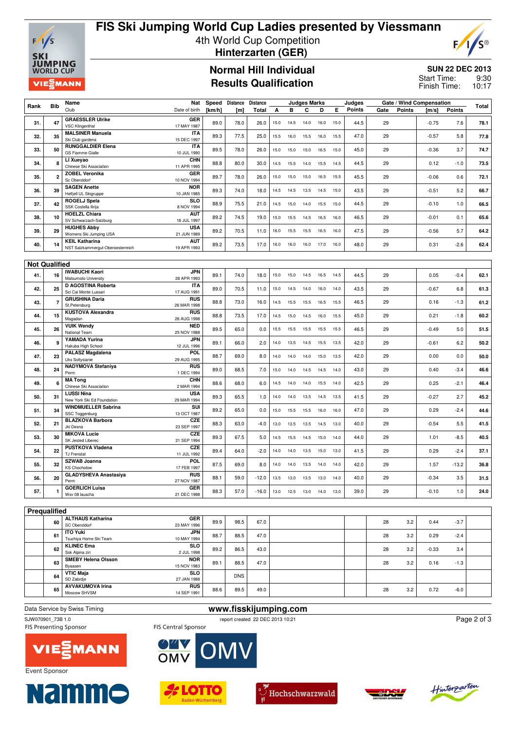

## **FIS Ski Jumping World Cup Ladies presented by Viessmann** 4th World Cup Competition  **Hinterzarten (GER)**



#### **Normal Hill Individual Results Qualification**

#### **SUN 22 DEC 2013**

9:30 10:17 Start Time: Finish Time:

| Rank | <b>Bib</b>           | Name                                                       | Nat                       | Speed  | Distance | Distance     |      |      | Judges Marks |      |      | Judges |      |               | Gate / Wind Compensation |         | <b>Total</b> |
|------|----------------------|------------------------------------------------------------|---------------------------|--------|----------|--------------|------|------|--------------|------|------|--------|------|---------------|--------------------------|---------|--------------|
|      |                      | Club                                                       | Date of birth             | [km/h] | [m]      | <b>Total</b> | А    | в    | С            | D    | Е    | Points | Gate | <b>Points</b> | [m/s]                    | Points  |              |
| 31.  | 47                   | <b>GRAESSLER Ulrike</b><br><b>VSC Klingenthal</b>          | GER<br>17 MAY 1987        | 89.0   | 78.0     | 26.0         | 15.0 | 14.5 | 14.0         | 16.0 | 15.0 | 44.5   | 29   |               | $-0.75$                  | 7.6     | 78.1         |
|      |                      | <b>MALSINER Manuela</b>                                    | <b>ITA</b>                |        |          |              |      |      |              |      |      |        |      |               |                          |         |              |
| 32.  | 35                   | Ski Club gardena                                           | 15 DEC 1997               | 89.3   | 77.5     | 25.0         | 15.5 | 16.0 | 15.5         | 16.0 | 15.5 | 47.0   | 29   |               | $-0.57$                  | 5.8     | 77.8         |
| 33.  | 50                   | <b>RUNGGALDIER Elena</b><br>GS Fiamme Gialle               | <b>ITA</b><br>10 JUL 1990 | 89.5   | 78.0     | 26.0         | 15.0 | 15.0 | 15.0         | 16.5 | 15.0 | 45.0   | 29   |               | $-0.36$                  | 3.7     | 74.7         |
| 34.  | 8                    | LI Xueyao<br>Chinese Ski Association                       | <b>CHN</b><br>11 APR 1995 | 88.8   | 80.0     | 30.0         | 14.5 | 15.5 | 14.0         | 15.5 | 14.5 | 44.5   | 29   |               | 0.12                     | $-1.0$  | 73.5         |
| 35.  | $\overline{2}$       | <b>ZOBEL Veronika</b><br>Sc Oberstdorf                     | GER<br>10 NOV 1994        | 89.7   | 78.0     | 26.0         | 15.0 | 15.0 | 15.0         | 16.5 | 15.5 | 45.5   | 29   |               | $-0.06$                  | 0.6     | 72.1         |
| 36.  | 39                   | <b>SAGEN Anette</b><br>Helfjell UL Skigruppe               | <b>NOR</b><br>10 JAN 1985 | 89.3   | 74.0     | 18.0         | 14.5 | 14.5 | 13.5         | 14.5 | 15.0 | 43.5   | 29   |               | $-0.51$                  | 5.2     | 66.7         |
|      |                      | <b>ROGELJ Spela</b>                                        | <b>SLO</b>                |        |          |              |      |      |              |      |      |        |      |               |                          |         |              |
| 37.  | 42                   | SSK Costella Ilirija                                       | 8 NOV 1994                | 88.9   | 75.5     | 21.0         | 14.5 | 15.0 | 14.0         | 15.5 | 15.0 | 44.5   | 29   |               | $-0.10$                  | 1.0     | 66.5         |
| 38.  | 10                   | <b>HOELZL Chiara</b>                                       | <b>AUT</b>                | 89.2   | 74.5     | 19.0         | 15.0 | 15.5 | 14.5         | 16.5 | 16.0 | 46.5   | 29   |               | $-0.01$                  | 0.1     | 65.6         |
|      |                      | SV Schwarzach-Salzburg                                     | 18 JUL 1997               |        |          |              |      |      |              |      |      |        |      |               |                          |         |              |
| 39.  | 29                   | <b>HUGHES Abby</b><br>Womens Ski Jumping USA               | <b>USA</b><br>21 JUN 1989 | 89.2   | 70.5     | 11.0         | 16.0 | 15.5 | 15.5         | 16.5 | 16.0 | 47.5   | 29   |               | $-0.56$                  | 5.7     | 64.2         |
| 40.  | 14                   | <b>KEIL Katharina</b><br>NST Salzkammergut-Oberoesterreich | <b>AUT</b><br>19 APR 1993 | 89.2   | 73.5     | 17.0         | 16.0 | 16.0 | 16.0         | 17.0 | 16.0 | 48.0   | 29   |               | 0.31                     | $-2.6$  | 62.4         |
|      |                      |                                                            |                           |        |          |              |      |      |              |      |      |        |      |               |                          |         |              |
|      | <b>Not Qualified</b> |                                                            |                           |        |          |              |      |      |              |      |      |        |      |               |                          |         |              |
|      |                      | <b>IWABUCHI Kaori</b>                                      | <b>JPN</b>                |        |          |              |      |      |              |      |      |        |      |               |                          |         |              |
| 41.  | 16                   | Matsumoto University                                       | 28 APR 1993               | 89.1   | 74.0     | 18.0         | 15.0 | 15.0 | 14.5         | 16.5 | 14.5 | 44.5   | 29   |               | 0.05                     | $-0.4$  | 62.1         |
| 42.  |                      | D AGOSTINA Roberta                                         | <b>ITA</b>                | 89.0   |          | 11.0         | 15.0 | 14.5 | 14.0         | 16.0 | 14.0 |        | 29   |               | $-0.67$                  | 6.8     |              |
|      | 25                   | Sci Cai Monte Lussari                                      | 17 AUG 1991               |        | 70.5     |              |      |      |              |      |      | 43.5   |      |               |                          |         | 61.3         |
| 43.  | $\overline{7}$       | <b>GRUSHINA Daria</b><br>St.Petersburg                     | <b>RUS</b><br>26 MAR 1998 | 88.8   | 73.0     | 16.0         | 14.5 | 15.5 | 15.5         | 16.5 | 15.5 | 46.5   | 29   |               | 0.16                     | $-1.3$  | 61.2         |
| 44.  | 15                   | <b>KUSTOVA Alexandra</b><br>Magadan                        | <b>RUS</b><br>26 AUG 1998 | 88.8   | 73.5     | 17.0         | 14.5 | 15.0 | 14.5         | 16.0 | 15.5 | 45.0   | 29   |               | 0.21                     | $-1.8$  | 60.2         |
| 45.  | 26                   | <b>VUIK Wendy</b>                                          | <b>NED</b>                | 89.5   | 65.0     | 0.0          | 15.5 | 15.5 | 15.5         | 15.5 | 15.5 | 46.5   | 29   |               | $-0.49$                  | 5.0     | 51.5         |
|      |                      | National Team                                              | 25 NOV 1988               |        |          |              |      |      |              |      |      |        |      |               |                          |         |              |
| 46.  | 9                    | YAMADA Yurina<br>Hakuba High School                        | <b>JPN</b><br>12 JUL 1996 | 89.1   | 66.0     | 2.0          | 14.0 | 13.5 | 14.5         | 15.5 | 13.5 | 42.0   | 29   |               | $-0.61$                  | 6.2     | 50.2         |
| 47.  | 23                   | <b>PALASZ Magdalena</b><br><b>Uks Soltysianie</b>          | POL.<br>29 AUG 1995       | 88.7   | 69.0     | 8.0          | 14.0 | 14.0 | 14.0         | 15.0 | 13.5 | 42.0   | 29   |               | 0.00                     | 0.0     | 50.0         |
| 48.  | 24                   | <b>NADYMOVA Stefaniya</b><br>Perm                          | <b>RUS</b><br>1 DEC 1994  | 89.0   | 68.5     | 7.0          | 15.0 | 14.0 | 14.5         | 14.5 | 14.0 | 43.0   | 29   |               | 0.40                     | $-3.4$  | 46.6         |
| 49.  | 6                    | <b>MA Tong</b>                                             | <b>CHN</b>                | 88.6   | 68.0     | 6.0          | 14.5 | 14.0 | 14.0         | 15.5 | 14.0 | 42.5   | 29   |               | 0.25                     | $-2.1$  | 46.4         |
|      |                      | Chinese Ski Association                                    | 2 MAR 1994                |        |          |              |      |      |              |      |      |        |      |               |                          |         |              |
| 50.  | 31                   | <b>LUSSI Nina</b><br>New York Ski Ed Foundation            | <b>USA</b><br>29 MAR 1994 | 89.3   | 65.5     | 1.0          | 14.0 | 14.0 | 13.5         | 14.5 | 13.5 | 41.5   | 29   |               | $-0.27$                  | 2.7     | 45.2         |
| 51.  | 34                   | <b>WINDMUELLER Sabrina</b>                                 | SUI                       | 89.2   | 65.0     | 0.0          | 15.0 | 15.5 | 15.5         | 16.0 | 16.0 | 47.0   | 29   |               | 0.29                     | $-2.4$  | 44.6         |
|      |                      | SSC Toggenburg<br><b>BLAZKOVA Barbora</b>                  | 13 OCT 1987<br>CZE        |        |          |              |      |      |              |      |      |        |      |               |                          |         |              |
| 52.  | 21                   | Jkl Desna                                                  | 23 SEP 1997               | 88.3   | 63.0     | $-4.0$       | 13.0 | 13.5 | 13.5         | 14.5 | 13.0 | 40.0   | 29   |               | $-0.54$                  | 5.5     | 41.5         |
| 53.  | 30                   | <b>MIKOVA Lucie</b><br>SK Jested Liberec                   | CZE<br>21 SEP 1994        | 89.3   | 67.5     | 5.0          | 14.5 | 15.5 | 14.5         | 15.0 | 14.0 | 44.0   | 29   |               | 1.01                     | $-8.5$  | 40.5         |
| 54.  | 22                   | <b>PUSTKOVA Vladena</b><br><b>TJ Frenstat</b>              | CZE<br>11 JUL 1992        | 89.4   | 64.0     | $-2.0$       | 14.0 | 14.0 | 13.5         | 15.0 | 13.0 | 41.5   | 29   |               | 0.29                     | $-2.4$  | 37.1         |
| 55.  | 32                   | <b>SZWAB Joanna</b><br><b>KS Chocholow</b>                 | POL<br>17 FEB 1997        | 87.5   | 69.0     | 8.0          | 14.0 | 14.0 | 13.5         | 14.0 | 14.0 | 42.0   | 29   |               | 1.57                     | $-13.2$ | 36.8         |
| 56.  | 20                   | <b>GLADYSHEVA Anastasiya</b><br>Perm                       | <b>RUS</b><br>27 NOV 1987 | 88.1   | 59.0     | $-12.0$      | 13.5 | 13.0 | 13.5         | 13.0 | 14.0 | 40.0   | 29   |               | $-0.34$                  | 3.5     | 31.5         |
|      |                      | <b>GOERLICH Luisa</b>                                      | <b>GER</b>                |        |          |              |      |      |              |      |      |        |      |               |                          |         |              |
| 57.  | 1                    | Wsv 08 lauscha                                             | 21 DEC 1998               | 88.3   | 57.0     | $-16.0$      | 13.0 | 12.5 | 13.0         | 14.0 | 13.0 | 39.0   | 29   |               | $-0.10$                  | 1.0     | 24.0         |
|      |                      |                                                            |                           |        |          |              |      |      |              |      |      |        |      |               |                          |         |              |
|      | Prequalified         | AL TUALIO Mathematic                                       |                           |        |          |              |      |      |              |      |      |        |      |               |                          |         |              |
|      |                      |                                                            | $\sim$ rn                 |        |          |              |      |      |              |      |      |        |      |               |                          |         |              |

| . <del>.</del> . |                                           |                           |      |            |      |  |    |     |         |        |  |
|------------------|-------------------------------------------|---------------------------|------|------------|------|--|----|-----|---------|--------|--|
| 60               | <b>ALTHAUS Katharina</b><br>SC Oberstdorf | <b>GER</b><br>23 MAY 1996 | 89.9 | 98.5       | 67.0 |  | 28 | 3.2 | 0.44    | $-3.7$ |  |
| 61               | ITO Yuki<br>Tsuchiya Home Ski Team        | <b>JPN</b><br>10 MAY 1994 | 88.7 | 88.5       | 47.0 |  | 28 | 3.2 | 0.29    | $-2.4$ |  |
| 62               | <b>KLINEC Ema</b><br>Ssk Alpina ziri      | <b>SLO</b><br>2 JUL 1998  | 89.2 | 86.5       | 43.0 |  | 28 | 3.2 | $-0.33$ | 3.4    |  |
| 63               | <b>SMEBY Helena Olsson</b><br>Byaasen     | <b>NOR</b><br>15 NOV 1983 | 89.1 | 88.5       | 47.0 |  | 28 | 3.2 | 0.16    | $-1.3$ |  |
| 64               | <b>VTIC Maja</b><br>SD Zabrdje            | <b>SLO</b><br>27 JAN 1988 |      | <b>DNS</b> |      |  |    |     |         |        |  |
| 65               | <b>AVVAKUMOVA Irina</b><br>Moscow SHVSM   | <b>RUS</b><br>14 SEP 1991 | 88.6 | 89.5       | 49.0 |  | 28 | 3.2 | 0.72    | $-6.0$ |  |
|                  |                                           |                           |      |            |      |  |    |     |         |        |  |

Data Service by Swiss Timing<br>
SJW070901\_73B 1.0<br> **www.fisskijumping.com**report created 22 DEC 2013 10:21 SJW070901\_73B 1.0<br>
FIS Central Sponsor<br>
FIS Central Sponsor<br>
FIS Central Sponsor

**MV** 

Page 2 of 3







FIS Central Sponsor

OMV